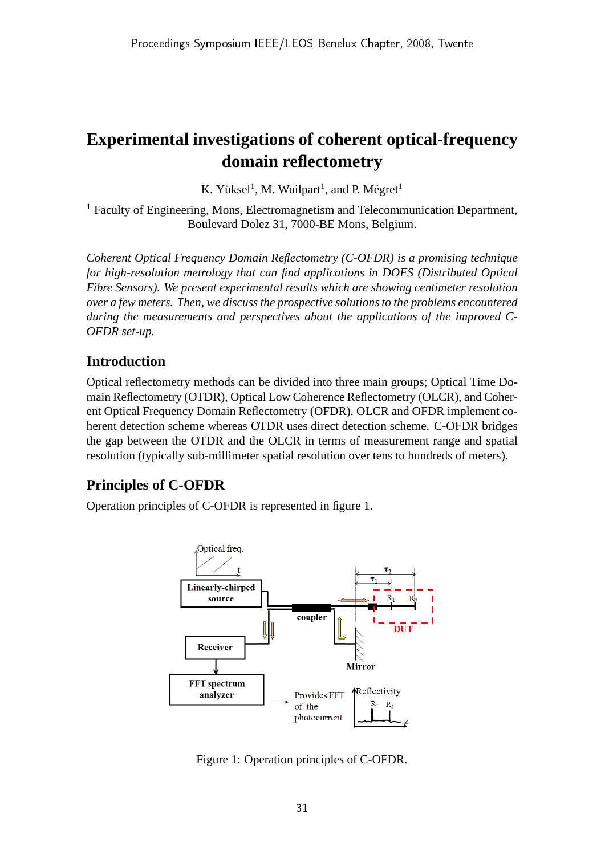# **Experimental investigations of coherent optical-frequency domain reflectometry**

K. Yüksel<sup>1</sup>, M. Wuilpart<sup>1</sup>, and P. Mégret<sup>1</sup>

<sup>1</sup> Faculty of Engineering, Mons, Electromagnetism and Telecommunication Department, Boulevard Dolez 31, 7000-BE Mons, Belgium.

*Coherent Optical Frequency Domain Reflectometry (C-OFDR) is a promising technique for high-resolution metrology that can find applications in DOFS (Distributed Optical Fibre Sensors). We present experimental results which are showing centimeter resolution over a few meters. Then, we discuss the prospective solutions to the problems encountered during the measurements and perspectives about the applications of the improved C-OFDR set-up.*

## **Introduction**

Optical reflectometry methods can be divided into three main groups; Optical Time Domain Reflectometry (OTDR), Optical Low Coherence Reflectometry (OLCR), and Coherent Optical Frequency Domain Reflectometry (OFDR). OLCR and OFDR implement coherent detection scheme whereas OTDR uses direct detection scheme. C-OFDR bridges the gap between the OTDR and the OLCR in terms of measurement range and spatial resolution (typically sub-millimeter spatial resolution over tens to hundreds of meters).

# **Principles of C-OFDR**

Operation principles of C-OFDR is represented in figure 1.



Figure 1: Operation principles of C-OFDR.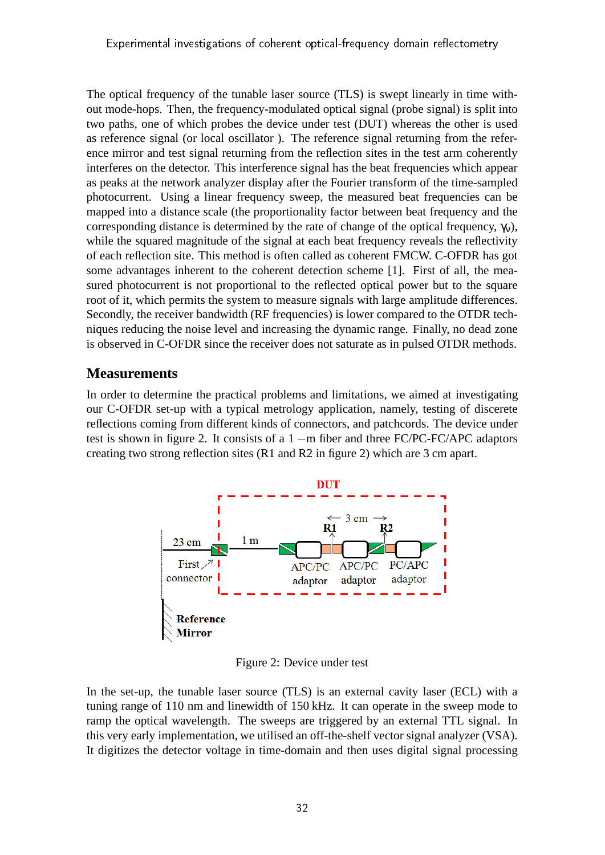The optical frequency of the tunable laser source (TLS) is swept linearly in time without mode-hops. Then, the frequency-modulated optical signal (probe signal) is split into two paths, one of which probes the device under test (DUT) whereas the other is used as reference signal (or local oscillator ). The reference signal returning from the reference mirror and test signal returning from the reflection sites in the test arm coherently interferes on the detector. This interference signal has the beat frequencies which appear as peaks at the network analyzer display after the Fourier transform of the time-sampled photocurrent. Using a linear frequency sweep, the measured beat frequencies can be mapped into a distance scale (the proportionality factor between beat frequency and the corresponding distance is determined by the rate of change of the optical frequency,  $\gamma_v$ ), while the squared magnitude of the signal at each beat frequency reveals the reflectivity of each reflection site. This method is often called as coherent FMCW. C-OFDR has got some advantages inherent to the coherent detection scheme [1]. First of all, the measured photocurrent is not proportional to the reflected optical power but to the square root of it, which permits the system to measure signals with large amplitude differences. Secondly, the receiver bandwidth (RF frequencies) is lower compared to the OTDR techniques reducing the noise level and increasing the dynamic range. Finally, no dead zone is observed in C-OFDR since the receiver does not saturate as in pulsed OTDR methods.

#### **Measurements**

In order to determine the practical problems and limitations, we aimed at investigating our C-OFDR set-up with a typical metrology application, namely, testing of discerete reflections coming from different kinds of connectors, and patchcords. The device under test is shown in figure 2. It consists of a 1 −m fiber and three FC/PC-FC/APC adaptors creating two strong reflection sites (R1 and R2 in figure 2) which are 3 cm apart.



Figure 2: Device under test

In the set-up, the tunable laser source (TLS) is an external cavity laser (ECL) with a tuning range of 110 nm and linewidth of 150 kHz. It can operate in the sweep mode to ramp the optical wavelength. The sweeps are triggered by an external TTL signal. In this very early implementation, we utilised an off-the-shelf vector signal analyzer (VSA). It digitizes the detector voltage in time-domain and then uses digital signal processing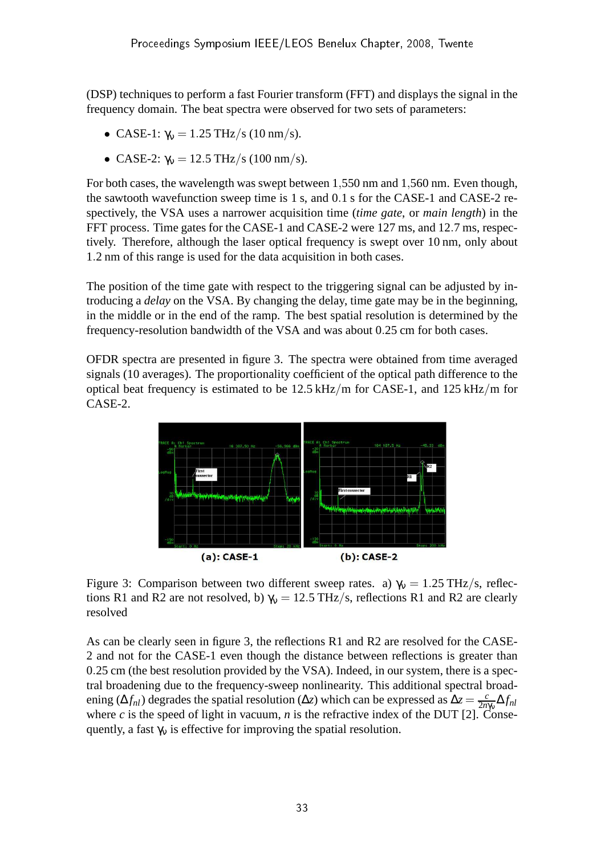(DSP) techniques to perform a fast Fourier transform (FFT) and displays the signal in the frequency domain. The beat spectra were observed for two sets of parameters:

- CASE-1:  $\gamma_v = 1.25 \text{ THz/s}$  (10 nm/s).
- CASE-2:  $\gamma_v = 12.5 \text{ THz/s}$  (100 nm/s).

For both cases, the wavelength was swept between 1,550 nm and 1,560 nm. Even though, the sawtooth wavefunction sweep time is 1 s, and 0.1 s for the CASE-1 and CASE-2 respectively, the VSA uses a narrower acquisition time (*time gate*, or *main length*) in the FFT process. Time gates for the CASE-1 and CASE-2 were 127 ms, and 12.7 ms, respectively. Therefore, although the laser optical frequency is swept over 10 nm, only about 1.2 nm of this range is used for the data acquisition in both cases.

The position of the time gate with respect to the triggering signal can be adjusted by introducing a *delay* on the VSA. By changing the delay, time gate may be in the beginning, in the middle or in the end of the ramp. The best spatial resolution is determined by the frequency-resolution bandwidth of the VSA and was about 0.25 cm for both cases.

OFDR spectra are presented in figure 3. The spectra were obtained from time averaged signals (10 averages). The proportionality coefficient of the optical path difference to the optical beat frequency is estimated to be 12.5 kHz/m for CASE-1, and 125 kHz/m for CASE-2.



Figure 3: Comparison between two different sweep rates. a)  $\gamma_v = 1.25 \text{ THz/s}$ , reflections R1 and R2 are not resolved, b)  $\gamma_v = 12.5 \text{ THz/s}$ , reflections R1 and R2 are clearly resolved

As can be clearly seen in figure 3, the reflections R1 and R2 are resolved for the CASE-2 and not for the CASE-1 even though the distance between reflections is greater than 0.25 cm (the best resolution provided by the VSA). Indeed, in our system, there is a spectral broadening due to the frequency-sweep nonlinearity. This additional spectral broadening ( $\Delta f_{nl}$ ) degrades the spatial resolution ( $\Delta z$ ) which can be expressed as  $\Delta z = \frac{c}{2n}$ 2*n*γν ∆*fnl* where *c* is the speed of light in vacuum, *n* is the refractive index of the DUT [2]. Consequently, a fast  $\gamma_v$  is effective for improving the spatial resolution.